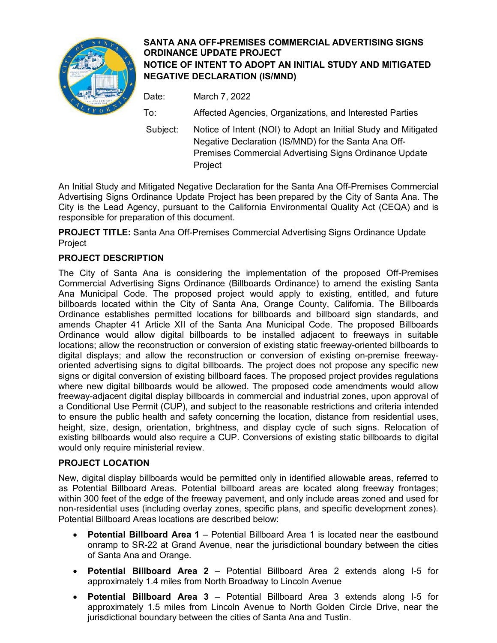

## **SANTA ANA OFF-PREMISES COMMERCIAL ADVERTISING SIGNS ORDINANCE UPDATE PROJECT NOTICE OF INTENT TO ADOPT AN INITIAL STUDY AND MITIGATED NEGATIVE DECLARATION (IS/MND)**

Date: March 7, 2022 To: Affected Agencies, Organizations, and Interested Parties Subject: Notice of Intent (NOI) to Adopt an Initial Study and Mitigated

Negative Declaration (IS/MND) for the Santa Ana Off-Premises Commercial Advertising Signs Ordinance Update **Project** 

An Initial Study and Mitigated Negative Declaration for the Santa Ana Off-Premises Commercial Advertising Signs Ordinance Update Project has been prepared by the City of Santa Ana. The City is the Lead Agency, pursuant to the California Environmental Quality Act (CEQA) and is responsible for preparation of this document.

**PROJECT TITLE:** Santa Ana Off-Premises Commercial Advertising Signs Ordinance Update Project

## **PROJECT DESCRIPTION**

The City of Santa Ana is considering the implementation of the proposed Off-Premises Commercial Advertising Signs Ordinance (Billboards Ordinance) to amend the existing Santa Ana Municipal Code. The proposed project would apply to existing, entitled, and future billboards located within the City of Santa Ana, Orange County, California. The Billboards Ordinance establishes permitted locations for billboards and billboard sign standards, and amends Chapter 41 Article XII of the Santa Ana Municipal Code. The proposed Billboards Ordinance would allow digital billboards to be installed adjacent to freeways in suitable locations; allow the reconstruction or conversion of existing static freeway-oriented billboards to digital displays; and allow the reconstruction or conversion of existing on-premise freewayoriented advertising signs to digital billboards. The project does not propose any specific new signs or digital conversion of existing billboard faces. The proposed project provides regulations where new digital billboards would be allowed. The proposed code amendments would allow freeway-adjacent digital display billboards in commercial and industrial zones, upon approval of a Conditional Use Permit (CUP), and subject to the reasonable restrictions and criteria intended to ensure the public health and safety concerning the location, distance from residential uses, height, size, design, orientation, brightness, and display cycle of such signs. Relocation of existing billboards would also require a CUP. Conversions of existing static billboards to digital would only require ministerial review.

## **PROJECT LOCATION**

New, digital display billboards would be permitted only in identified allowable areas, referred to as Potential Billboard Areas. Potential billboard areas are located along freeway frontages; within 300 feet of the edge of the freeway pavement, and only include areas zoned and used for non-residential uses (including overlay zones, specific plans, and specific development zones). Potential Billboard Areas locations are described below:

- **Potential Billboard Area 1** Potential Billboard Area 1 is located near the eastbound onramp to SR-22 at Grand Avenue, near the jurisdictional boundary between the cities of Santa Ana and Orange.
- **Potential Billboard Area 2** Potential Billboard Area 2 extends along I-5 for approximately 1.4 miles from North Broadway to Lincoln Avenue
- **Potential Billboard Area 3** Potential Billboard Area 3 extends along I-5 for approximately 1.5 miles from Lincoln Avenue to North Golden Circle Drive, near the jurisdictional boundary between the cities of Santa Ana and Tustin.